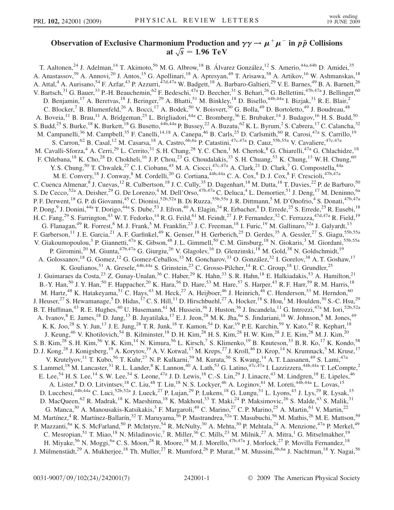## Observation of Exclusive Charmonium Production and  $\gamma\gamma \to \mu^+\mu^-$  in  $p\bar{p}$  Collisions at  $\sqrt{s}$  = 1.96 TeV

T. Aaltonen,<sup>24</sup> J. Adelman,<sup>14</sup> T. Akimoto,<sup>56</sup> M. G. Albrow,<sup>18</sup> B. Álvarez González,<sup>12</sup> S. Amerio,<sup>44a,44b</sup> D. Amidei,<sup>35</sup> A. Anastassov,<sup>39</sup> A. Annovi,<sup>20</sup> J. Antos,<sup>15</sup> G. Apollinari,<sup>18</sup> A. Apresyan,<sup>49</sup> T. Arisawa,<sup>58</sup> A. Artikov,<sup>16</sup> W. Ashmanskas,<sup>18</sup> A. Attal,<sup>4</sup> A. Aurisano,<sup>54</sup> F. Azfar,<sup>43</sup> P. Azzurri,<sup>47d,47a</sup> W. Badgett,<sup>18</sup> A. Barbaro-Galtieri,<sup>29</sup> V. E. Barnes,<sup>49</sup> B. A. Barnett,<sup>26</sup> V. Bartsch,<sup>31</sup> G. Bauer,<sup>33</sup> P.-H. Beauchemin,<sup>62</sup> F. Bedeschi,<sup>47a</sup> D. Beecher,<sup>31</sup> S. Behari,<sup>26</sup> G. Bellettini,<sup>47b,47a</sup> J. Bellinger,<sup>60</sup> D. Benjamin,<sup>17</sup> A. Beretvas,<sup>18</sup> J. Beringer,<sup>29</sup> A. Bhatti,<sup>51</sup> M. Binkley,<sup>18</sup> D. Bisello,<sup>44b,44a</sup> I. Bizjak,<sup>31</sup> R. E. Blair,<sup>2</sup> C. Blocker,<sup>7</sup> B. Blumenfeld,<sup>26</sup> A. Bocci,<sup>17</sup> A. Bodek,<sup>50</sup> V. Boisvert,<sup>50</sup> G. Bolla,<sup>49</sup> D. Bortoletto,<sup>49</sup> J. Boudreau,<sup>48</sup> A. Boveia,<sup>11</sup> B. Brau,<sup>11</sup> A. Bridgeman,<sup>25</sup> L. Brigliadori,<sup>44a</sup> C. Bromberg,<sup>36</sup> E. Brubaker,<sup>14</sup> J. Budagov,<sup>16</sup> H. S. Budd,<sup>50</sup> S. Budd,<sup>25</sup> S. Burke,<sup>18</sup> K. Burkett,<sup>18</sup> G. Busetto,<sup>44b,44a</sup> P. Bussey,<sup>22</sup> A. Buzatu,<sup>62</sup> K. L. Byrum,<sup>2</sup> S. Cabrera,<sup>17</sup> C. Calancha,<sup>32</sup> M. Campanelli,<sup>36</sup> M. Campbell,<sup>35</sup> F. Canelli,<sup>14,18</sup> A. Canepa,<sup>46</sup> B. Carls,<sup>25</sup> D. Carlsmith,<sup>60</sup> R. Carosi,<sup>47a</sup> S. Carrillo,<sup>19</sup> S. Carron,<sup>62</sup> B. Casal,<sup>12</sup> M. Casarsa,<sup>18</sup> A. Castro,<sup>6b,6a</sup> P. Catastini,<sup>47c,47a</sup> D. Cauz,<sup>55b,55a</sup> V. Cavaliere,<sup>47c,47a</sup> M. Cavalli-Sforza,<sup>4</sup> A. Cerri,<sup>29</sup> L. Cerrito,<sup>31</sup> S. H. Chang,<sup>28</sup> Y. C. Chen,<sup>1</sup> M. Chertok,<sup>8</sup> G. Chiarelli,<sup>47a</sup> G. Chlachidze,<sup>18</sup> F. Chlebana,<sup>18</sup> K. Cho,<sup>28</sup> D. Chokheli,<sup>16</sup> J. P. Chou,<sup>23</sup> G. Choudalakis,<sup>33</sup> S. H. Chuang,<sup>53</sup> K. Chung,<sup>13</sup> W. H. Chung,<sup>60</sup> Y. S. Chung,<sup>50</sup> T. Chwalek,<sup>27</sup> C. I. Ciobanu,<sup>45</sup> M. A. Ciocci,<sup>47c,47a</sup> A. Clark,<sup>21</sup> D. Clark,<sup>7</sup> G. Compostella,<sup>44a</sup> M. E. Convery, <sup>18</sup> J. Conway, <sup>8</sup> M. Cordelli, <sup>20</sup> G. Cortiana, <sup>44b, 44a</sup> C. A. Cox, <sup>8</sup> D. J. Cox, <sup>8</sup> F. Crescioli, <sup>47b, 47a</sup> C. Cuenca Almenar, <sup>8</sup> J. Cuevas, <sup>12</sup> R. Culbertson, <sup>18</sup> J. C. Cully, <sup>35</sup> D. Dagenhart, <sup>18</sup> M. Datta, <sup>18</sup> T. Davies, <sup>22</sup> P. de Barbaro, <sup>50</sup> S. De Cecco,<sup>52a</sup> A. Deisher,<sup>29</sup> G. De Lorenzo,<sup>4</sup> M. Dell'Orso,<sup>47b,47a</sup> C. Deluca,<sup>4</sup> L. Demortier,<sup>51</sup> J. Deng,<sup>17</sup> M. Deninno,<sup>6a</sup> P. F. Derwent, <sup>18</sup> G. P. di Giovanni, <sup>45</sup> C. Dionisi, <sup>52b, 52a</sup> B. Di Ruzza, <sup>55b, 55a</sup> J. R. Dittmann, <sup>5</sup> M. D'Onofrio, <sup>4</sup> S. Donati, <sup>47b, 47a</sup> P. Dong,<sup>9</sup> J. Donini,<sup>44a</sup> T. Dorigo,<sup>44a</sup> S. Dube,<sup>53</sup> J. Efron,<sup>40</sup> A. Elagin,<sup>54</sup> R. Erbacher,<sup>8</sup> D. Errede,<sup>25</sup> S. Errede,<sup>25</sup> R. Eusebi,<sup>18</sup> H. C. Fang,<sup>29</sup> S. Farrington,<sup>43</sup> W. T. Fedorko,<sup>14</sup> R. G. Feild,<sup>61</sup> M. Feindt,<sup>27</sup> J. P. Fernandez,<sup>32</sup> C. Ferrazza,<sup>47d,47a</sup> R. Field,<sup>19</sup> G. Flanagan,<sup>49</sup> R. Forrest,<sup>8</sup> M. J. Frank,<sup>5</sup> M. Franklin,<sup>23</sup> J. C. Freeman,<sup>18</sup> I. Furic,<sup>19</sup> M. Gallinaro,<sup>52a</sup> J. Galyardt,<sup>13</sup> F. Garberson,<sup>11</sup> J. E. Garcia,<sup>21</sup> A. F. Garfinkel,<sup>49</sup> K. Genser,<sup>18</sup> H. Gerberich,<sup>25</sup> D. Gerdes,<sup>35</sup> A. Gessler,<sup>27</sup> S. Giagu,<sup>55b,55a</sup> V. Giakoumopoulou,<sup>3</sup> P. Giannetti,<sup>47a</sup> K. Gibson,<sup>48</sup> J.L. Gimmell,<sup>50</sup> C.M. Ginsburg,<sup>18</sup> N. Giokaris,<sup>3</sup> M. Giordani,<sup>55b,55a</sup> P. Giromini,<sup>20</sup> M. Giunta,<sup>47b,47a</sup> G. Giurgiu,<sup>26</sup> V. Glagolev,<sup>16</sup> D. Glenzinski,<sup>18</sup> M. Gold,<sup>38</sup> N. Goldschmidt,<sup>19</sup> A. Golossanov,<sup>18</sup> G. Gomez,<sup>12</sup> G. Gomez-Ceballos,<sup>33</sup> M. Goncharov,<sup>33</sup> O. González,<sup>32</sup> I. Gorelov,<sup>38</sup> A. T. Goshaw,<sup>17</sup> K. Goulianos,<sup>51</sup> A. Gresele,<sup>44b,44a</sup> S. Grinstein,<sup>23</sup> C. Grosso-Pilcher,<sup>14</sup> R. C. Group,<sup>18</sup> U. Grundler,<sup>25</sup> J. Guimaraes da Costa,<sup>23</sup> Z. Gunay-Unalan,<sup>36</sup> C. Haber,<sup>29</sup> K. Hahn,<sup>33</sup> S. R. Hahn,<sup>18</sup> E. Halkiadakis,<sup>53</sup> A. Hamilton,<sup>21</sup> B.-Y. Han,<sup>50</sup> J. Y. Han,<sup>50</sup> F. Happacher,<sup>20</sup> K. Hara,<sup>56</sup> D. Hare,<sup>53</sup> M. Hare,<sup>57</sup> S. Harper,<sup>43</sup> R. F. Harr,<sup>59</sup> R. M. Harris,<sup>18</sup> M. Hartz,<sup>48</sup> K. Hatakeyama,<sup>51</sup> C. Hays,<sup>43</sup> M. Heck,<sup>27</sup> A. Heijboer,<sup>46</sup> J. Heinrich,<sup>46</sup> C. Henderson,<sup>33</sup> M. Herndon,<sup>60</sup> J. Heuser,<sup>27</sup> S. Hewamanage,<sup>5</sup> D. Hidas,<sup>17</sup> C. S. Hill,<sup>11</sup> D. Hirschbuehl,<sup>27</sup> A. Hocker,<sup>18</sup> S. Hou,<sup>1</sup> M. Houlden,<sup>30</sup> S.-C. Hsu,<sup>29</sup> B. T. Huffman,<sup>43</sup> R. E. Hughes,<sup>40</sup> U. Husemann,<sup>61</sup> M. Hussein,<sup>36</sup> J. Huston,<sup>36</sup> J. Incandela,<sup>11</sup> G. Introzzi,<sup>47a</sup> M. Iori,<sup>52b,52a</sup> A. Ivanov, <sup>8</sup> E. James, <sup>18</sup> D. Jang, <sup>13</sup> B. Jayatilaka, <sup>17</sup> E. J. Jeon, <sup>28</sup> M. K. Jha, <sup>6a</sup> S. Jindariani, <sup>18</sup> W. Johnson, <sup>8</sup> M. Jones, <sup>49</sup> K. K. Joo,<sup>28</sup> S. Y. Jun,<sup>13</sup> J. E. Jung,<sup>28</sup> T. R. Junk,<sup>18</sup> T. Kamon,<sup>54</sup> D. Kar,<sup>19</sup> P. E. Karchin,<sup>59</sup> Y. Kato,<sup>42</sup> R. Kephart,<sup>18</sup> J. Keung,<sup>46</sup> V. Khotilovich,<sup>54</sup> B. Kilminster,<sup>18</sup> D. H. Kim,<sup>28</sup> H. S. Kim,<sup>28</sup> H. W. Kim,<sup>28</sup> J. E. Kim,<sup>28</sup> M. J. Kim,<sup>20</sup> S. B. Kim,<sup>28</sup> S. H. Kim,<sup>56</sup> Y. K. Kim,<sup>14</sup> N. Kimura,<sup>56</sup> L. Kirsch,<sup>7</sup> S. Klimenko,<sup>19</sup> B. Knuteson,<sup>33</sup> B. R. Ko,<sup>17</sup> K. Kondo,<sup>58</sup> D. J. Kong,<sup>28</sup> J. Konigsberg,<sup>19</sup> A. Korytov,<sup>19</sup> A. V. Kotwal,<sup>17</sup> M. Kreps,<sup>27</sup> J. Kroll,<sup>46</sup> D. Krop,<sup>14</sup> N. Krumnack,<sup>5</sup> M. Kruse,<sup>17</sup> V. Krutelyov,<sup>11</sup> T. Kubo,<sup>56</sup> T. Kuhr,<sup>27</sup> N. P. Kulkarni,<sup>59</sup> M. Kurata,<sup>56</sup> S. Kwang,<sup>14</sup> A. T. Laasanen,<sup>49</sup> S. Lami,<sup>47a</sup> S. Lammel,<sup>18</sup> M. Lancaster,<sup>31</sup> R. L. Lander,<sup>8</sup> K. Lannon,<sup>40</sup> A. Lath,<sup>53</sup> G. Latino,<sup>47c,47a</sup> I. Lazzizzera,<sup>44b,44a</sup> T. LeCompte,<sup>2</sup> E. Lee,<sup>54</sup> H. S. Lee,<sup>14</sup> S. W. Lee,<sup>54</sup> S. Leone,<sup>47a</sup> J. D. Lewis,<sup>18</sup> C.-S. Lin,<sup>29</sup> J. Linacre,<sup>43</sup> M. Lindgren,<sup>18</sup> E. Lipeles,<sup>46</sup> A. Lister, <sup>8</sup> D. O. Litvintsev, <sup>18</sup> C. Liu, <sup>48</sup> T. Liu, <sup>18</sup> N. S. Lockyer, <sup>46</sup> A. Loginov, <sup>61</sup> M. Loreti, <sup>44b, 44a</sup> L. Lovas, <sup>15</sup> D. Lucchesi,<sup>44b,44a</sup> C. Luci,<sup>52b,52a</sup> J. Lueck,<sup>27</sup> P. Lujan,<sup>29</sup> P. Lukens,<sup>18</sup> G. Lungu,<sup>51</sup> L. Lyons,<sup>43</sup> J. Lys,<sup>29</sup> R. Lysak,<sup>15</sup> D. MacQueen,<sup>62</sup> R. Madrak,<sup>18</sup> K. Maeshima,<sup>18</sup> K. Makhoul,<sup>33</sup> T. Maki,<sup>24</sup> P. Maksimovic,<sup>26</sup> S. Malde,<sup>43</sup> S. Malik,<sup>31</sup> G. Manca,<sup>30</sup> A. Manousakis-Katsikakis,<sup>3</sup> F. Margaroli,<sup>49</sup> C. Marino,<sup>27</sup> C. P. Marino,<sup>25</sup> A. Martin,<sup>61</sup> V. Martin,<sup>22</sup> M. Martínez,<sup>4</sup> R. Martínez-Ballarín,<sup>32</sup> T. Maruyama,<sup>56</sup> P. Mastrandrea,<sup>52a</sup> T. Masubuchi,<sup>56</sup> M. Mathis,<sup>26</sup> M. E. Mattson,<sup>59</sup> P. Mazzanti,<sup>6a</sup> K. S. McFarland,<sup>50</sup> P. McIntyre,<sup>54</sup> R. McNulty,<sup>30</sup> A. Mehta,<sup>30</sup> P. Mehtala,<sup>24</sup> A. Menzione,<sup>47a</sup> P. Merkel,<sup>49</sup> C. Mesropian,<sup>51</sup> T. Miao,<sup>18</sup> N. Miladinovic,<sup>7</sup> R. Miller,<sup>36</sup> C. Mills,<sup>23</sup> M. Milnik,<sup>27</sup> A. Mitra,<sup>1</sup> G. Mitselmakher,<sup>19</sup> H. Miyake,<sup>56</sup> N. Moggi,<sup>6a</sup> C. S. Moon,<sup>28</sup> R. Moore,<sup>18</sup> M. J. Morello,<sup>47b,47a</sup> J. Morlock,<sup>27</sup> P. Movilla Fernandez,<sup>18</sup> J. Mülmenstädt,<sup>29</sup> A. Mukherjee,<sup>18</sup> Th. Muller,<sup>27</sup> R. Mumford,<sup>26</sup> P. Murat,<sup>18</sup> M. Mussini,<sup>6b,6a</sup> J. Nachtman,<sup>18</sup> Y. Nagai,<sup>56</sup>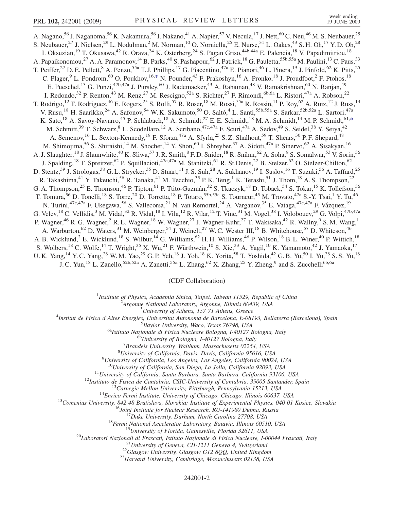<span id="page-1-0"></span>A. Nagano,<sup>56</sup> J. Naganoma,<sup>56</sup> K. Nakamura,<sup>56</sup> I. Nakano,<sup>41</sup> A. Napier,<sup>57</sup> V. Necula,<sup>17</sup> J. Nett,<sup>60</sup> C. Neu,<sup>46</sup> M. S. Neubauer,<sup>25</sup> S. Neubauer,<sup>27</sup> J. Nielsen,<sup>29</sup> L. Nodulman,<sup>2</sup> M. Norman,<sup>10</sup> O. Norniella,<sup>25</sup> E. Nurse,<sup>31</sup> L. Oakes,<sup>43</sup> S. H. Oh,<sup>17</sup> Y. D. Oh,<sup>28</sup> I. Oksuzian,<sup>19</sup> T. Okusawa,<sup>42</sup> R. Orava,<sup>24</sup> K. Osterberg,<sup>24</sup> S. Pagan Griso,<sup>44b,44a</sup> E. Palencia,<sup>18</sup> V. Papadimitriou,<sup>18</sup> A. Papaikonomou,<sup>27</sup> A. A. Paramonov,<sup>14</sup> B. Parks,<sup>40</sup> S. Pashapour,<sup>62</sup> J. Patrick,<sup>18</sup> G. Pauletta,<sup>55b,55a</sup> M. Paulini,<sup>13</sup> C. Paus,<sup>33</sup> T. Peiffer,<sup>27</sup> D. E. Pellett,<sup>8</sup> A. Penzo,<sup>55a</sup> T. J. Phillips,<sup>17</sup> G. Piacentino,<sup>47a</sup> E. Pianori,<sup>46</sup> L. Pinera,<sup>19</sup> J. Pinfold,<sup>62</sup> K. Pitts,<sup>25</sup> C. Plager,<sup>9</sup> L. Pondrom,<sup>60</sup> O. Poukhov,<sup>16,[\\*](#page-6-0)</sup> N. Pounder,<sup>43</sup> F. Prakoshyn,<sup>16</sup> A. Pronko,<sup>18</sup> J. Proudfoot,<sup>2</sup> F. Ptohos,<sup>18</sup> E. Pueschel,<sup>13</sup> G. Punzi,<sup>47b,47a</sup> J. Pursley,<sup>60</sup> J. Rademacker,<sup>43</sup> A. Rahaman,<sup>48</sup> V. Ramakrishnan,<sup>60</sup> N. Ranjan,<sup>49</sup> I. Redondo,<sup>32</sup> P. Renton,<sup>43</sup> M. Renz,<sup>27</sup> M. Rescigno,<sup>52a</sup> S. Richter,<sup>27</sup> F. Rimondi,<sup>6b,6a</sup> L. Ristori,<sup>47a</sup> A. Robson,<sup>22</sup> T. Rodrigo,<sup>12</sup> T. Rodriguez,<sup>46</sup> E. Rogers,<sup>25</sup> S. Rolli,<sup>57</sup> R. Roser,<sup>18</sup> M. Rossi,<sup>55a</sup> R. Rossin,<sup>11</sup> P. Roy,<sup>62</sup> A. Ruiz,<sup>12</sup> J. Russ,<sup>13</sup> V. Rusu,<sup>18</sup> H. Saarikko,<sup>24</sup> A. Safonov,<sup>54</sup> W. K. Sakumoto,<sup>50</sup> O. Saltó,<sup>4</sup> L. Santi,<sup>55b,55a</sup> S. Sarkar,<sup>52b,52a</sup> L. Sartori,<sup>47a</sup> K. Sato,<sup>18</sup> A. Savoy-Navarro,<sup>45</sup> P. Schlabach,<sup>18</sup> A. Schmidt,<sup>27</sup> E. E. Schmidt,<sup>18</sup> M. A. Schmidt,<sup>14</sup> M. P. Schmidt,<sup>61[,\\*](#page-6-0)</sup> M. Schmitt,<sup>39</sup> T. Schwarz,<sup>8</sup> L. Scodellaro,<sup>12</sup> A. Scribano,<sup>47c,47a</sup> F. Scuri,<sup>47a</sup> A. Sedov,<sup>49</sup> S. Seidel,<sup>38</sup> Y. Seiya,<sup>42</sup> A. Semenov,<sup>16</sup> L. Sexton-Kennedy,<sup>18</sup> F. Sforza,<sup>47a</sup> A. Sfyrla,<sup>25</sup> S. Z. Shalhout,<sup>59</sup> T. Shears,<sup>30</sup> P. F. Shepard,<sup>48</sup> M. Shimojima,<sup>56</sup> S. Shiraishi,<sup>14</sup> M. Shochet,<sup>14</sup> Y. Shon,<sup>60</sup> I. Shreyber,<sup>37</sup> A. Sidoti,<sup>47a</sup> P. Sinervo,<sup>62</sup> A. Sisakyan,<sup>16</sup> A. J. Slaughter,<sup>18</sup> J. Slaunwhite,<sup>40</sup> K. Sliwa,<sup>57</sup> J. R. Smith,<sup>8</sup> F. D. Snider,<sup>18</sup> R. Snihur,<sup>62</sup> A. Soha,<sup>8</sup> S. Somalwar,<sup>53</sup> V. Sorin,<sup>36</sup> J. Spalding,<sup>18</sup> T. Spreitzer,<sup>62</sup> P. Squillacioti,<sup>47c,47a</sup> M. Stanitzki,<sup>61</sup> R. St.Denis,<sup>22</sup> B. Stelzer,<sup>62</sup> O. Stelzer-Chilton,<sup>62</sup> D. Stentz,<sup>39</sup> J. Strologas,<sup>38</sup> G. L. Strycker,<sup>35</sup> D. Stuart,<sup>11</sup> J. S. Suh,<sup>28</sup> A. Sukhanov,<sup>19</sup> I. Suslov,<sup>16</sup> T. Suzuki,<sup>56</sup> A. Taffard,<sup>25</sup> R. Takashima,<sup>41</sup> Y. Takeuchi,<sup>56</sup> R. Tanaka,<sup>41</sup> M. Tecchio,<sup>35</sup> P. K. Teng,<sup>1</sup> K. Terashi,<sup>51</sup> J. Thom,<sup>18</sup> A. S. Thompson,<sup>22</sup> G. A. Thompson,<sup>25</sup> E. Thomson,<sup>46</sup> P. Tipton,<sup>61</sup> P. Ttito-Guzmán,<sup>32</sup> S. Tkaczyk,<sup>18</sup> D. Toback,<sup>54</sup> S. Tokar,<sup>15</sup> K. Tollefson,<sup>36</sup> T. Tomura,<sup>56</sup> D. Tonelli,<sup>18</sup> S. Torre,<sup>20</sup> D. Torretta,<sup>18</sup> P. Totaro,<sup>55b,55a</sup> S. Tourneur,<sup>45</sup> M. Trovato,<sup>47a</sup> S.-Y. Tsai,<sup>1</sup> Y. Tu,<sup>46</sup> N. Turini,<sup>47c,47a</sup> F. Ukegawa,<sup>56</sup> S. Vallecorsa,<sup>21</sup> N. van Remortel,<sup>24</sup> A. Varganov,<sup>35</sup> E. Vataga,<sup>47c,47a</sup> F. Vázquez,<sup>19</sup> G. Velev, <sup>18</sup> C. Vellidis, <sup>3</sup> M. Vidal, <sup>32</sup> R. Vidal, <sup>18</sup> I. Vila, <sup>12</sup> R. Vilar, <sup>12</sup> T. Vine, <sup>31</sup> M. Vogel, <sup>38</sup> I. Volobouev, <sup>29</sup> G. Volpi, <sup>47b, 47a</sup> P. Wagner,<sup>46</sup> R. G. Wagner,<sup>2</sup> R. L. Wagner,<sup>18</sup> W. Wagner,<sup>27</sup> J. Wagner-Kuhr,<sup>27</sup> T. Wakisaka,<sup>42</sup> R. Wallny,<sup>9</sup> S. M. Wang,<sup>1</sup> A. Warburton,<sup>62</sup> D. Waters,<sup>31</sup> M. Weinberger,<sup>54</sup> J. Weinelt,<sup>27</sup> W. C. Wester III,<sup>18</sup> B. Whitehouse,<sup>57</sup> D. Whiteson,<sup>46</sup> A. B. Wicklund,<sup>2</sup> E. Wicklund,<sup>18</sup> S. Wilbur,<sup>14</sup> G. Williams,<sup>62</sup> H. H. Williams,<sup>46</sup> P. Wilson,<sup>18</sup> B. L. Winer,<sup>40</sup> P. Wittich,<sup>18</sup> S. Wolbers,<sup>18</sup> C. Wolfe,<sup>14</sup> T. Wright,<sup>35</sup> X. Wu,<sup>21</sup> F. Würthwein,<sup>10</sup> S. Xie,<sup>33</sup> A. Yagil,<sup>10</sup> K. Yamamoto,<sup>42</sup> J. Yamaoka,<sup>17</sup> U. K. Yang,<sup>14</sup> Y. C. Yang,<sup>28</sup> W. M. Yao,<sup>29</sup> G. P. Yeh,<sup>18</sup> J. Yoh,<sup>18</sup> K. Yorita,<sup>58</sup> T. Yoshida,<sup>42</sup> G. B. Yu,<sup>50</sup> I. Yu,<sup>28</sup> S. S. Yu,<sup>18</sup> J. C. Yun,<sup>18</sup> L. Zanello,<sup>52b,52a</sup> A. Zanetti,<sup>55a</sup> L. Zhang,<sup>62</sup> X. Zhang,<sup>25</sup> Y. Zheng,<sup>9</sup> and S. Zucchelli<sup>6b,6a</sup>

## (CDF Collaboration)

<sup>1</sup>Institute of Physics, Academia Sinica, Taipei, Taiwan 11529, Republic of China<br><sup>2</sup>Argonna National Laboratory, Argonna Illinois 60430, USA

 $A$ rgonne National Laboratory, Argonne, Illinois 60439, USA<br> $3$ University of Athens, 157 71 Athens, Greece

<sup>3</sup>University of Athens, 157 71 Athens, Greece  $\frac{4}{3}$  University of Athens, 157 71 Athens, Greece

Institut de Fisica d'Altes Energies, Universitat Autonoma de Barcelona, E-08193, Bellaterra (Barcelona), Spain <sup>5</sup>

 $^{5}$ Baylor University, Waco, Texas 76798, USA<br><sup>6a</sup>Istituto Nazionale di Fisica Nucleare Bologna, I-40127 Bologna, Italy <sup>6b</sup>University of Bologna, I-40127 Bologna, Italy

 ${}^{7}$ Brandeis University, Waltham, Massachusetts 02254, USA

<sup>8</sup>University of California, Davis, Davis, California 95616, USA

<sup>9</sup>University of California, Los Angeles, Los Angeles, California 90024, USA<br><sup>10</sup>University of California, San Diego, La Jolla, California 92093, USA

<sup>10</sup>University of California, San Diego, La Jolla, California 92093, USA<br>
<sup>11</sup>University of California, Santa Barbara, Santa Barbara, California 93106, USA<br>
<sup>12</sup>Instituto de Eisica de Cantabria, CSIC-University of Cardiba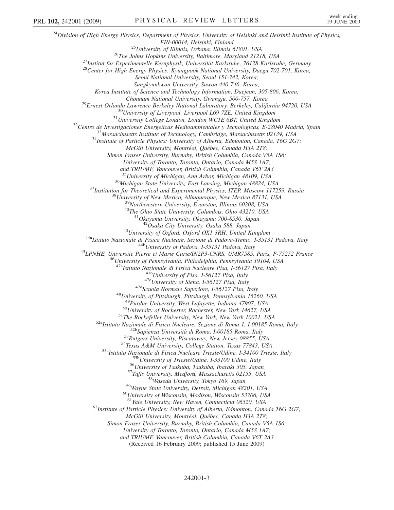$^{24}$ Division of High Energy Physics, Department of Physics, University of Helsinki and Helsinki Institute of Physics, FIN-00014, Helsinki, Finland<br><sup>25</sup>University of Illinois, Urbana, Illinois 61801, USA<br><sup>26</sup>The Johns Hopkins University, Baltimore, Maryland 21218, USA<br><sup>27</sup>Institut für Experimentelle Kernphysik, Universität Karlsruhe, 76128 Seoul National University, Seoul 151-742, Korea; Sungkyunkwan University, Suwon 440-746, Korea; Korea Institute of Science and Technology Information, Daejeon, 305-806, Korea; Chonnam National University, Gwangju, 500-757, Korea<br><sup>29</sup>Ernest Orlando Lawrence Berkeley National Laboratory, Berkeley, California 94720, USA<br><sup>30</sup>University of Liverpool, Liverpool L69 7ZE, United Kingdom<br><sup>31</sup>University C McGill University, Montréal, Québec, Canada H3A 2T8; Simon Fraser University, Burnaby, British Columbia, Canada V5A 1S6; University of Toronto, Toronto, Ontario, Canada M5S 1A7; and TRIUMF, Vancouver, British Columbia, Canada V6T 2A3 <sup>35</sup> University of Michigan, Ann Arbor, Michigan 48109, USA<br><sup>36</sup> Michigan State University, East Lansing, Michigan 48824, USA<br><sup>37</sup> Institution for Theoretical and Experimental Physics, ITEP, Moscow 117259, Russia<br><sup>38</sup> Uni <sup>43</sup>University of Oxford, Oxford OX1 3RH, United Kingdom<br><sup>44a</sup>Istituto Nazionale di Fisica Nucleare, Sezione di Padova-Trento, I-35131 Padova, Italy<br><sup>44b</sup>University of Padova, I-35131 Padova, Italy<br><sup>45</sup>LPNHE, Universite P  $^{476}$ University of Pisa, 1-56127 Pisa, Italy<br><sup> $47c$ </sup>University of Siena, 1-56127 Pisa, Italy<br><sup> $47d$ </sup>Scuola Normale Superiore, 1-56127 Pisa, Italy<br><sup>48</sup>University of Pittsburgh, Pittsburgh, Pennsylvania 15260, USA <sup>49</sup>Purdue University, West Lafayette, Indiana 47907, USA<br><sup>50</sup>University of Rochester, Rochester, New York 14627, USA<br><sup>51</sup>The Rockefeller University, New York, New York 10021, USA<br><sup>52</sup>Natituto Nazionale di Fisica Nucleare <sup>61</sup>Yale University, New Haven, Connecticut 06520, USA<br><sup>62</sup>Institute of Particle Physics: University of Alberta, Edmonton, Canada T6G 2G7; McGill University, Montréal, Québec, Canada H3A 2T8; Simon Fraser University, Burnaby, British Columbia, Canada V5A 1S6; University of Toronto, Toronto, Ontario, Canada M5S 1A7; and TRIUMF, Vancouver, British Columbia, Canada V6T 2A3 (Received 16 February 2009; published 15 June 2009)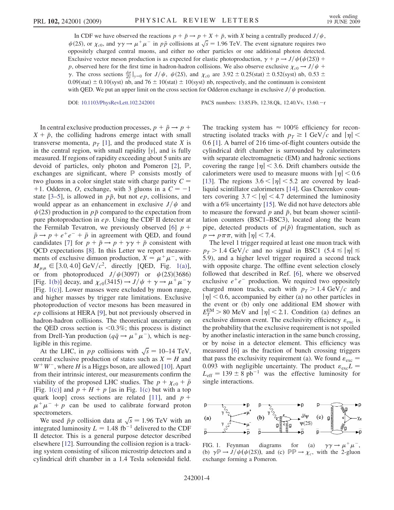In CDF we have observed the reactions  $p + \bar{p} \rightarrow p + X + \bar{p}$ , with X being a centrally produced  $J/\psi$ ,  $\psi(2S)$ , or  $\chi_{c0}$ , and  $\gamma\gamma \to \mu^+\mu^-$  in  $p\bar{p}$  collisions at  $\sqrt{s} = 1.96$  TeV. The event signature requires two oppositely charged central muons, and either no other particles or one additional photon detected. Exclusive vector meson production is as expected for elastic photoproduction,  $\gamma + p \rightarrow J/\psi(\psi(2S))$  + p, observed here for the first time in hadron-hadron collisions. We also observe exclusive  $\chi_{c0} \to J/\psi$  +  $\gamma$ . The cross sections  $\frac{d\sigma}{dy}|_{y=0}$  for  $J/\psi$ ,  $\psi$ (2S), and  $\chi_{c0}$  are 3.92  $\pm$  0.25(stat)  $\pm$  0.52(syst) nb, 0.53  $\pm$  $0.09$ (stat)  $\pm$  0.10(syst) nb, and 76  $\pm$  10(stat)  $\pm$  10(syst) nb, respectively, and the continuum is consistent with QED. We put an upper limit on the cross section for Odderon exchange in exclusive  $J/\psi$  production.

DOI: [10.1103/PhysRevLett.102.242001](http://dx.doi.org/10.1103/PhysRevLett.102.242001) PACS numbers: 13.85.Fb, 12.38.Qk, 12.40.Vv, 13.60.r

In central exclusive production processes,  $p + \bar{p} \rightarrow p +$  $X + \bar{p}$ , the colliding hadrons emerge intact with small transverse momenta,  $p_T$  [[1\]](#page-6-1), and the produced state X is in the central region, with small rapidity  $|y|$ , and is fully measured. If regions of rapidity exceeding about 5 units are devoid of particles, only photon and Pomeron [[2](#page-6-2)], P, exchanges are significant, where  $\mathbb P$  consists mostly of two gluons in a color singlet state with charge parity  $C =$ +1. Odderon, O, exchange, with 3 gluons in a  $C = -1$ state [[3–](#page-6-3)[5](#page-6-4)], is allowed in  $p\bar{p}$ , but not ep, collisions, and would appear as an enhancement in exclusive  $J/\psi$  and  $\psi(2S)$  production in  $p\bar{p}$  compared to the expectation from pure photoproduction in  $ep$ . Using the CDF II detector at the Fermilab Tevatron, we previously observed [\[6\]](#page-6-5)  $p +$  $\bar{p} \rightarrow p + e^+e^- + \bar{p}$  in agreement with QED, and found candidates [[7](#page-6-6)] for  $p + \bar{p} \rightarrow p + \gamma \gamma + \bar{p}$  consistent with QCD expectations [[8\]](#page-6-7). In this Letter we report measurements of exclusive dimuon production,  $X = \mu^+ \mu^-$ , with  $M_{\mu\mu} \in [3.0, 4.0] \text{ GeV}/c^2$ , directly [QED, Fig. [1\(a\)\]](#page-3-0), or from photoproduced  $J/\psi(3097)$  or  $\psi(2S)(3686)$ [Fig. [1\(b\)\]](#page-3-0) decay, and  $\chi_{c0}(3415) \rightarrow J/\psi + \gamma \rightarrow \mu^{+}\mu^{-}\gamma$ [Fig.  $1(c)$ ]. Lower masses were excluded by muon range, and higher masses by trigger rate limitations. Exclusive photoproduction of vector mesons has been measured in ep collisions at HERA [[9](#page-6-8)], but not previously observed in hadron-hadron collisions. The theoretical uncertainty on the QED cross section is  $\leq 0.3\%$ ; this process is distinct from Drell-Yan production ( $q\bar{q} \rightarrow \mu^+ \mu^-$ ), which is negligible in this regime.

At the LHC, in *pp* collisions with  $\sqrt{s} = 10-14 \text{ TeV}$ , central exclusive production of states such as  $X = H$  and  $W^+W^-$ , where H is a Higgs boson, are allowed [\[10\]](#page-6-9). Apart from their intrinsic interest, our measurements confirm the viability of the proposed LHC studies. The  $p + \chi_{c0} + \bar{p}$ [Fig. [1\(c\)](#page-3-0)] and  $p + H + p$  [as in Fig. 1(c) but with a top quark loop] cross sections are related [\[11\]](#page-6-10), and  $p +$  $\mu^+ \mu^- + p$  can be used to calibrate forward proton spectrometers.

We used  $\bar{p}p$  collision data at  $\sqrt{s} = 1.96 \text{ TeV}$  with an integrated luminosity  $L = 1.48$  fb<sup>-1</sup> delivered to the CDF II detector. This is a general purpose detector described elsewhere [[12\]](#page-6-11). Surrounding the collision region is a tracking system consisting of silicon microstrip detectors and a cylindrical drift chamber in a 1.4 Tesla solenoidal field. The tracking system has  $\approx 100\%$  efficiency for reconstructing isolated tracks with  $p_T \geq 1$  GeV/c and  $|\eta|$  < 0:6 [\[1\]](#page-6-1). A barrel of 216 time-of-flight counters outside the cylindrical drift chamber is surrounded by calorimeters with separate electromagnetic (EM) and hadronic sections covering the range  $|\eta|$  < 3.6. Drift chambers outside the calorimeters were used to measure muons with  $|\eta|$  < 0.6 [\[13\]](#page-6-12). The regions  $3.6 < |\eta| < 5.2$  are covered by leadliquid scintillator calorimeters [[14](#page-6-13)]. Gas Cherenkov counters covering  $3.7 < |\eta| < 4.7$  determined the luminosity with a 6% uncertainty [[15](#page-6-14)]. We did not have detectors able to measure the forward  $p$  and  $\bar{p}$ , but beam shower scintillation counters (BSC1–BSC3), located along the beam pipe, detected products of  $p(\bar{p})$  fragmentation, such as  $p \rightarrow p \pi \pi$ , with  $|\eta|$  < 7.4.

The level 1 trigger required at least one muon track with  $p_T > 1.4 \text{ GeV}/c$  and no signal in BSC1 (5.4  $\leq |\eta| \leq$ 5:9), and a higher level trigger required a second track with opposite charge. The offline event selection closely followed that described in Ref. [[6](#page-6-5)], where we observed exclusive  $e^+e^-$  production. We required two oppositely charged muon tracks, each with  $p_T > 1.4 \text{ GeV}/c$  and  $|\eta|$  < 0.6, accompanied by either (a) no other particles in the event or (b) only one additional EM shower with  $E_T^{EM} > 80$  MeV and  $|\eta| < 2.1$ . Condition (a) defines an exclusive dimuon event. The exclusivity efficiency  $\varepsilon_{\rm exc}$  is the probability that the exclusive requirement is not spoiled by another inelastic interaction in the same bunch crossing, or by noise in a detector element. This efficiency was measured [\[6\]](#page-6-5) as the fraction of bunch crossing triggers that pass the exclusivity requirement (a). We found  $\varepsilon_{\rm exc}$  = 0.093 with negligible uncertainty. The product  $\varepsilon_{\rm exc}L =$  $L_{\text{eff}} = 139 \pm 8 \text{ pb}^{-1}$  was the effective luminosity for single interactions.



<span id="page-3-0"></span>FIG. 1. Feynman diagrams for (a)  $\gamma \rightarrow \mu^+ \mu^-,$ (b)  $\gamma \mathbb{P} \to J/\psi(\psi(2S))$ , and (c)  $\mathbb{P} \mathbb{P} \to \chi_c$ , with the 2-gluon exchange forming a Pomeron.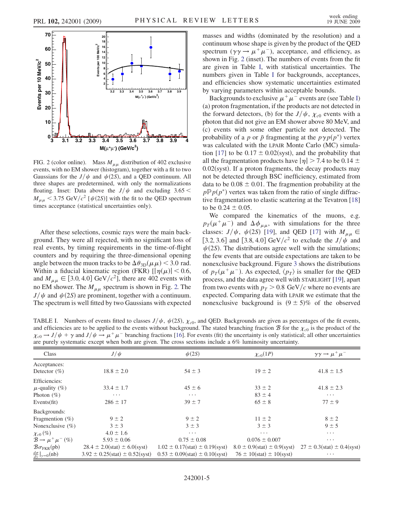<span id="page-4-0"></span>

FIG. 2 (color online). Mass  $M_{\mu\mu}$  distribution of 402 exclusive events, with no EM shower (histogram), together with a fit to two Gaussians for the  $J/\psi$  and  $\psi$  (2S), and a QED continuum. All three shapes are predetermined, with only the normalizations floating. Inset: Data above the  $J/\psi$  and excluding 3.65 <  $M_{\mu\mu}$  < 3.75 GeV/c<sup>2</sup> [ $\psi$ (2S)] with the fit to the QED spectrum times acceptance (statistical uncertainties only).

After these selections, cosmic rays were the main background. They were all rejected, with no significant loss of real events, by timing requirements in the time-of-flight counters and by requiring the three-dimensional opening angle between the muon tracks to be  $\Delta \theta_{3D}(\mu \mu) < 3.0$  rad. Within a fiducial kinematic region (FKR)  $\left[ \left| \eta(\mu) \right| < 0.6 \right)$ , and  $M_{\mu\mu} \in [3.0, 4.0] \text{ GeV}/c^2$ , there are 402 events with no EM shower. The  $M_{\mu\mu}$  spectrum is shown in Fig. [2.](#page-4-0) The  $J/\psi$  and  $\psi(2S)$  are prominent, together with a continuum. The spectrum is well fitted by two Gaussians with expected masses and widths (dominated by the resolution) and a continuum whose shape is given by the product of the QED spectrum  $(\gamma \gamma \rightarrow \mu^+ \mu^-)$ , acceptance, and efficiency, as shown in Fig. [2](#page-4-0) (inset). The numbers of events from the fit are given in Table [I,](#page-4-1) with statistical uncertainties. The numbers given in Table [I](#page-4-1) for backgrounds, acceptances, and efficiencies show systematic uncertainties estimated by varying parameters within acceptable bounds.

Backgrounds to exclusive  $\mu^+ \mu^-$  events are (see Table [I\)](#page-4-1) (a) proton fragmentation, if the products are not detected in the forward detectors, (b) for the  $J/\psi$ ,  $\chi_{c0}$  events with a photon that did not give an EM shower above 80 MeV, and (c) events with some other particle not detected. The probability of a p or  $\bar{p}$  fragmenting at the  $p\gamma p(p^*)$  vertex was calculated with the LPAIR Monte Carlo (MC) simula-tion [\[17\]](#page-6-15) to be  $0.17 \pm 0.02$ (syst), and the probability that all the fragmentation products have  $|\eta| > 7.4$  to be 0.14  $\pm$  $0.02$ (syst). If a proton fragments, the decay products may not be detected through BSC inefficiency, estimated from data to be  $0.08 \pm 0.01$ . The fragmention probability at the  $p\mathbb{P}p(p^*)$  vertex was taken from the ratio of single diffractive fragmentation to elastic scattering at the Tevatron [\[18\]](#page-6-16) to be  $0.24 \pm 0.05$ .

We compared the kinematics of the muons, e.g.  $p_T(\mu^+\mu^-)$  and  $\Delta\phi_{\mu\mu}$ , with simulations for the three classes:  $J/\psi$ ,  $\psi$ (2S) [[19](#page-6-17)], and QED [\[17](#page-6-15)] with  $M_{\mu\mu} \in$ [3.2, 3.6] and [3.8, 4.0] GeV/ $c^2$  to exclude the  $J/\psi$  and  $\psi(2S)$ . The distributions agree well with the simulations; the few events that are outside expectations are taken to be nonexclusive background. Figure [3](#page-5-0) shows the distributions of  $p_T(\mu^+\mu^-)$ . As expected,  $\langle p_T \rangle$  is smaller for the QED process, and the data agree well with STARLIGHT [\[19\]](#page-6-17), apart from two events with  $p_T > 0.8$  GeV/c where no events are expected. Comparing data with LPAIR we estimate that the nonexclusive background is  $(9 \pm 5)\%$  of the observed

<span id="page-4-1"></span>TABLE I. Numbers of events fitted to classes  $J/\psi$ ,  $\psi(2S)$ ,  $\chi_{c0}$ , and QED. Backgrounds are given as percentages of the fit events, and efficiencies are to be applied to the events without background. The stated branching fraction  $\mathcal B$  for the  $\chi_{c0}$  is the product of the  $\chi_{c0} \to J/\psi + \gamma$  and  $J/\psi \to \mu^+ \mu^-$  branching fractions [\[16\]](#page-6-18). For events (fit) the uncertainty is only statistical; all other uncertainties are purely systematic except when both are given. The cross sections include a 6% luminosity uncertainty.

| <b>Class</b>                              | $J/\psi$                             | $\psi(2S)$                               | $\chi_{c0}(1P)$                       | $\gamma \gamma \rightarrow \mu^+ \mu^-$ |
|-------------------------------------------|--------------------------------------|------------------------------------------|---------------------------------------|-----------------------------------------|
| Acceptances:                              |                                      |                                          |                                       |                                         |
| Detector $(\%)$                           | $18.8 \pm 2.0$                       | $54 \pm 3$                               | $19 \pm 2$                            | $41.8 \pm 1.5$                          |
| Efficiencies:                             |                                      |                                          |                                       |                                         |
| $\mu$ -quality (%)                        | $33.4 \pm 1.7$                       | $45 \pm 6$                               | $33 \pm 2$                            | $41.8 \pm 2.3$                          |
| Photon $(\%)$                             | $\cdots$                             | $\cdots$                                 | $83 \pm 4$                            | $\cdots$                                |
| Events $(fit)$                            | $286 \pm 17$                         | $39 \pm 7$                               | $65 \pm 8$                            | $77 \pm 9$                              |
| Backgrounds:                              |                                      |                                          |                                       |                                         |
| Fragmention $(\%)$                        | $9 \pm 2$                            | $9 \pm 2$                                | $11 \pm 2$                            | $8 \pm 2$                               |
| Nonexclusive $(\% )$                      | $3 \pm 3$                            | $3 \pm 3$                                | $3 \pm 3$                             | $9 \pm 5$                               |
| $\chi_{c0}(\%)$                           | $4.0 \pm 1.6$                        | $\cdots$                                 | $\cdots$                              | $\cdots$                                |
| $\mathcal{B} \rightarrow \mu^+ \mu^-$ (%) | $5.93 \pm 0.06$                      | $0.75 \pm 0.08$                          | $0.076 \pm 0.007$                     | $\cdots$                                |
| $\mathcal{B}\sigma_{\text{FKR}}$ (pb)     | $28.4 \pm 2.0(stat) \pm 6.0(syst)$   | $1.02 \pm 0.17(stat) \pm 0.19(syst)$     | $8.0 \pm 0.9$ (stat) $\pm 0.9$ (syst) | $27 \pm 0.3$ (stat) $\pm 0.4$ (syst)    |
| $\frac{d\sigma}{dy} _{y=0}$ (nb)          | $3.92 \pm 0.25(stat) \pm 0.52(syst)$ | $0.53 \pm 0.09$ (stat) $\pm 0.10$ (syst) | $76 \pm 10(stat) \pm 10(syst)$        | $\cdots$                                |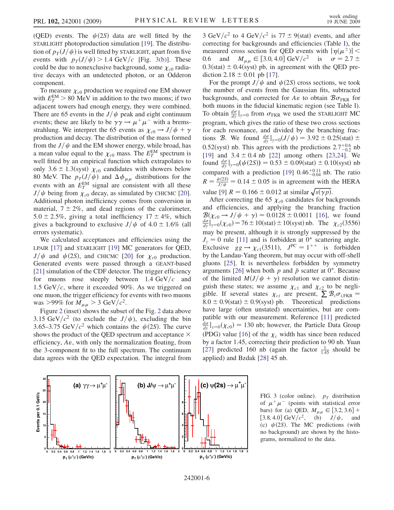(QED) events. The  $\psi(2S)$  data are well fitted by the STARLIGHT photoproduction simulation [\[19\]](#page-6-17). The distribution of  $p_T(J/\psi)$  is well fitted by STARLIGHT, apart from five events with  $p_T(J/\psi) > 1.4 \text{ GeV}/c$  [Fig. [3\(b\)](#page-5-1)]. These could be due to nonexclusive background, some  $\chi_{c0}$  radiative decays with an undetected photon, or an Odderon component.

To measure  $\chi_{c0}$  production we required one EM shower with  $E_T^{\text{EM}} > 80$  MeV in addition to the two muons; if two adjacent towers had enough energy, they were combined. There are 65 events in the  $J/\psi$  peak and eight continuum events; these are likely to be  $\gamma \gamma \rightarrow \mu^+ \mu^-$  with a bremsstrahlung. We interpret the 65 events as  $\chi_{c0} \rightarrow J/\psi + \gamma$ production and decay. The distribution of the mass formed from the  $J/\psi$  and the EM shower energy, while broad, has a mean value equal to the  $\chi_{c0}$  mass. The  $E_T^{EM}$  spectrum is well fitted by an empirical function which extrapolates to only 3.6  $\pm$  1.3(syst)  $\chi_{c0}$  candidates with showers below 80 MeV. The  $p_T(J/\psi)$  and  $\Delta\phi_{\mu\mu}$  distributions for the events with an  $E_T^{EM}$  signal are consistent with all these  $J/\psi$  being from  $\chi_{c0}$  decay, as simulated by CHICMC [\[20\]](#page-6-19). Additional photon inefficiency comes from conversion in material,  $7 \pm 2\%$ , and dead regions of the calorimeter,  $5.0 \pm 2.5\%$ , giving a total inefficiency  $17 \pm 4\%$ , which gives a background to exclusive  $J/\psi$  of 4.0  $\pm$  1.6% (all errors systematic).

We calculated acceptances and efficiencies using the LPAIR [[17](#page-6-15)] and STARLIGHT [\[19](#page-6-17)] MC generators for QED,  $J/\psi$  and  $\psi(2S)$ , and CHICMC [[20](#page-6-19)] for  $\chi_{c0}$  production. Generated events were passed through a GEANT-based [\[21\]](#page-6-20) simulation of the CDF detector. The trigger efficiency for muons rose steeply between  $1.4 \text{ GeV}/c$  and 1.5 GeV/ $c$ , where it exceeded 90%. As we triggered on one muon, the trigger efficiency for events with two muons was >99% for  $M_{\mu\mu} > 3$  GeV/ $c^2$ .

Figure [2](#page-4-0) (inset) shows the subset of the Fig. [2](#page-4-0) data above 3.15 GeV/ $c^2$  (to exclude the  $J/\psi$ ), excluding the bin 3.65–3.75 GeV/ $c^2$  which contains the  $\psi$ (2S). The curve shows the product of the OED spectrum and acceptance  $\times$ efficiency,  $A\epsilon$ , with only the normalization floating, from the 3-component fit to the full spectrum. The continuum data agrees with the QED expectation. The integral from

3 GeV/ $c^2$  to 4 GeV/ $c^2$  is 77  $\pm$  9(stat) events, and after correcting for backgrounds and efficiencies (Table [I\)](#page-4-1), the measured cross section for QED events with  $|\eta(\mu^{\pm})|$  < 0.6 and  $M_{\mu\mu} \in [3.0, 4.0] \text{ GeV}/c^2$  is  $\sigma = 2.7 \pm$  $0.3$ (stat)  $\pm$  0.4(syst) pb, in agreement with the QED prediction  $2.18 \pm 0.01$  pb [[17](#page-6-15)].

For the prompt  $J/\psi$  and  $\psi$  (2S) cross sections, we took the number of events from the Gaussian fits, subtracted backgrounds, and corrected for  $A\epsilon$  to obtain  $B\sigma_{\text{FKR}}$  for both muons in the fiducial kinematic region (see Table [I\)](#page-4-1). To obtain  $\frac{d\sigma}{dy}|_{y=0}$  from  $\sigma_{\text{FKR}}$  we used the STARLIGHT MC program, which gives the ratio of these two cross sections for each resonance, and divided by the branching fractions B. We found  $\frac{d\sigma}{dy}|_{y=0}(J/\psi) = 3.92 \pm 0.25(\text{stat}) \pm 0.25(\text{stat})$ 0.52(syst) nb. This agrees with the predictions  $2.7^{+0.6}_{-0.2}$  nb [\[19\]](#page-6-17) and  $3.4 \pm 0.4$  nb [[22](#page-6-21)] among others [[23](#page-6-22),[24](#page-6-23)]. We found  $\frac{d\sigma}{dy}|_{y=0}(\psi(2S)) = 0.53 \pm 0.09(\text{stat}) \pm 0.10(\text{syst})$  nb compared with a prediction [\[19\]](#page-6-17)  $0.46^{+0.11}_{-0.04}$  nb. The ratio  $R = \frac{\psi(2S)}{J/\psi} = 0.14 \pm 0.05$  is in agreement with the HERA value [\[9](#page-6-8)]  $R = 0.166 \pm 0.012$  at similar  $\sqrt{s(\gamma p)}$ .

After correcting the 65  $\chi_{c0}$  candidates for backgrounds and efficiencies, and applying the branching fraction  $\mathcal{B}(\chi_{c0} \to J/\psi + \gamma) = 0.0128 \pm 0.0011$  [[16](#page-6-18)], we found  $\frac{d\sigma}{dy}|_{y=0}^{y=0}(\chi_{c0}) = 76 \pm 10$ (stat)  $\pm 10$ (syst) nb. The  $\chi_{c2}(3556)$ may be present, although it is strongly suppressed by the  $J_z = 0$  rule [\[11\]](#page-6-10) and is forbidden at 0<sup>°</sup> scattering angle. Exclusive  $gg \rightarrow \chi_{c1}(3511)$ ,  $J^{PC} = 1^{++}$  is forbidden by the Landau-Yang theorem, but may occur with off-shell gluons [[25](#page-6-24)]. It is nevertheless forbidden by symmetry arguments [\[26\]](#page-6-25) when both p and  $\bar{p}$  scatter at 0°. Because of the limited  $M(J/\psi + \gamma)$  resolution we cannot distinguish these states; we assume  $\chi_{c1}$  and  $\chi_{c2}$  to be negligible. If several states  $\chi_{ci}$  are present,  $\sum \mathcal{B}_i \sigma_{i, \text{FKR}} =$  $8.0 \pm 0.9$ (stat)  $\pm 0.9$ (syst) pb. Theoretical predictions have large (often unstated) uncertainties, but are compatible with our measurement. Reference [[11](#page-6-10)] predicted  $\frac{d\sigma}{dy}|_{y=0}(\chi_{c0})=130$  nb; however, the Particle Data Group (PDG) value [\[16\]](#page-6-18) of the  $\chi_c$  width has since been reduced by a factor 1.45, correcting their prediction to 90 nb. Yuan [\[27\]](#page-6-26) predicted 160 nb (again the factor  $\frac{1}{1.45}$  should be applied) and Bzdak [[28](#page-6-27)] 45 nb.

<span id="page-5-1"></span><span id="page-5-0"></span>

FIG. 3 (color online).  $p_T$  distribution of  $\mu^+ \mu^-$  (points with statistical error bars) for (a) QED,  $M_{\mu\mu} \in [3.2, 3.6] +$ [3.8, 4.0] GeV/ $c^2$ , (b)  $J/\psi$ , (c)  $\psi(2S)$ . The MC predictions (with no background) are shown by the histograms, normalized to the data.